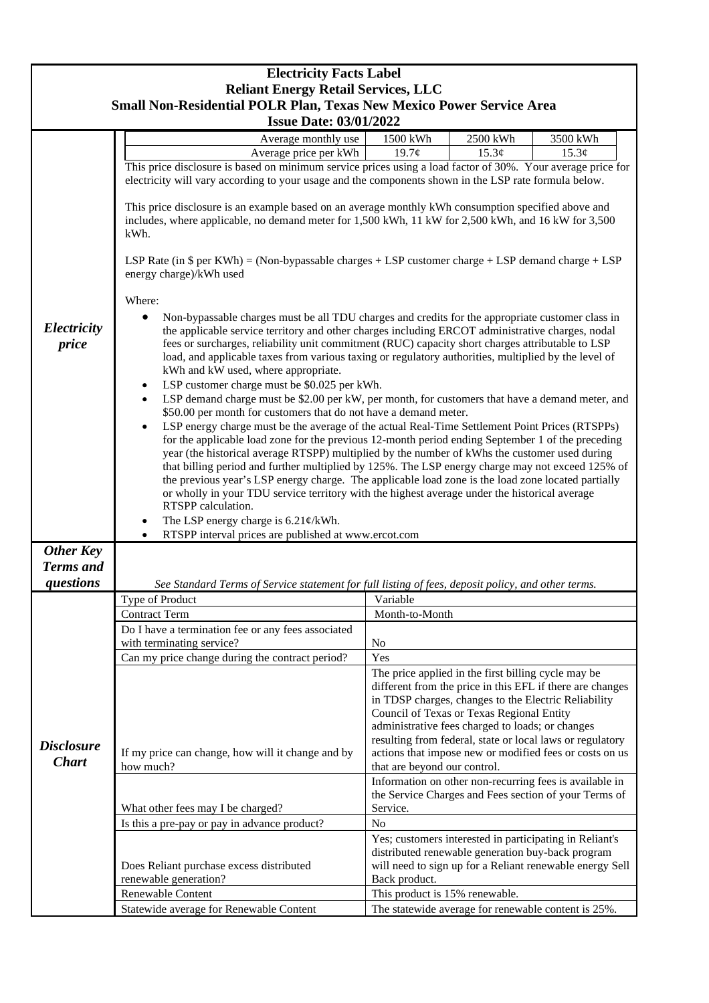|                                                                                                                                                     | <b>Electricity Facts Label</b>                                                                                                                                                                                                                                                                                                                                                                                                                                                                                                                                                                                                                                                                                                                                                                                                                                                                                                                                                                                                                                                                                                                                                                                                                                                                                                                                                                                                                                                                                                                                                                                                                                                                                                                                                                                                                                                                            |                                                                                                                                                                                                                                                                                                                                                                                                                                   |                                                                                                                  |       |  |
|-----------------------------------------------------------------------------------------------------------------------------------------------------|-----------------------------------------------------------------------------------------------------------------------------------------------------------------------------------------------------------------------------------------------------------------------------------------------------------------------------------------------------------------------------------------------------------------------------------------------------------------------------------------------------------------------------------------------------------------------------------------------------------------------------------------------------------------------------------------------------------------------------------------------------------------------------------------------------------------------------------------------------------------------------------------------------------------------------------------------------------------------------------------------------------------------------------------------------------------------------------------------------------------------------------------------------------------------------------------------------------------------------------------------------------------------------------------------------------------------------------------------------------------------------------------------------------------------------------------------------------------------------------------------------------------------------------------------------------------------------------------------------------------------------------------------------------------------------------------------------------------------------------------------------------------------------------------------------------------------------------------------------------------------------------------------------------|-----------------------------------------------------------------------------------------------------------------------------------------------------------------------------------------------------------------------------------------------------------------------------------------------------------------------------------------------------------------------------------------------------------------------------------|------------------------------------------------------------------------------------------------------------------|-------|--|
| <b>Reliant Energy Retail Services, LLC</b><br>Small Non-Residential POLR Plan, Texas New Mexico Power Service Area<br><b>Issue Date: 03/01/2022</b> |                                                                                                                                                                                                                                                                                                                                                                                                                                                                                                                                                                                                                                                                                                                                                                                                                                                                                                                                                                                                                                                                                                                                                                                                                                                                                                                                                                                                                                                                                                                                                                                                                                                                                                                                                                                                                                                                                                           |                                                                                                                                                                                                                                                                                                                                                                                                                                   |                                                                                                                  |       |  |
|                                                                                                                                                     |                                                                                                                                                                                                                                                                                                                                                                                                                                                                                                                                                                                                                                                                                                                                                                                                                                                                                                                                                                                                                                                                                                                                                                                                                                                                                                                                                                                                                                                                                                                                                                                                                                                                                                                                                                                                                                                                                                           |                                                                                                                                                                                                                                                                                                                                                                                                                                   |                                                                                                                  |       |  |
|                                                                                                                                                     | Average price per kWh                                                                                                                                                                                                                                                                                                                                                                                                                                                                                                                                                                                                                                                                                                                                                                                                                                                                                                                                                                                                                                                                                                                                                                                                                                                                                                                                                                                                                                                                                                                                                                                                                                                                                                                                                                                                                                                                                     | 19.7¢                                                                                                                                                                                                                                                                                                                                                                                                                             | 15.3¢                                                                                                            | 15.3¢ |  |
| Electricity<br>price                                                                                                                                | This price disclosure is based on minimum service prices using a load factor of 30%. Your average price for<br>electricity will vary according to your usage and the components shown in the LSP rate formula below.<br>This price disclosure is an example based on an average monthly kWh consumption specified above and<br>includes, where applicable, no demand meter for 1,500 kWh, 11 kW for 2,500 kWh, and 16 kW for 3,500<br>kWh.<br>LSP Rate (in $\$$ per KWh) = (Non-bypassable charges + LSP customer charge + LSP demand charge + LSP<br>energy charge)/kWh used<br>Where:<br>Non-bypassable charges must be all TDU charges and credits for the appropriate customer class in<br>the applicable service territory and other charges including ERCOT administrative charges, nodal<br>fees or surcharges, reliability unit commitment (RUC) capacity short charges attributable to LSP<br>load, and applicable taxes from various taxing or regulatory authorities, multiplied by the level of<br>kWh and kW used, where appropriate.<br>LSP customer charge must be \$0.025 per kWh.<br>LSP demand charge must be \$2.00 per kW, per month, for customers that have a demand meter, and<br>\$50.00 per month for customers that do not have a demand meter.<br>LSP energy charge must be the average of the actual Real-Time Settlement Point Prices (RTSPPs)<br>$\bullet$<br>for the applicable load zone for the previous 12-month period ending September 1 of the preceding<br>year (the historical average RTSPP) multiplied by the number of kWhs the customer used during<br>that billing period and further multiplied by 125%. The LSP energy charge may not exceed 125% of<br>the previous year's LSP energy charge. The applicable load zone is the load zone located partially<br>or wholly in your TDU service territory with the highest average under the historical average |                                                                                                                                                                                                                                                                                                                                                                                                                                   |                                                                                                                  |       |  |
| <b>Other Key</b><br><b>Terms</b> and                                                                                                                | RTSPP calculation.<br>The LSP energy charge is $6.21 \frac{\varphi}{kWh}$ .<br>RTSPP interval prices are published at www.ercot.com                                                                                                                                                                                                                                                                                                                                                                                                                                                                                                                                                                                                                                                                                                                                                                                                                                                                                                                                                                                                                                                                                                                                                                                                                                                                                                                                                                                                                                                                                                                                                                                                                                                                                                                                                                       |                                                                                                                                                                                                                                                                                                                                                                                                                                   |                                                                                                                  |       |  |
| questions                                                                                                                                           | See Standard Terms of Service statement for full listing of fees, deposit policy, and other terms.                                                                                                                                                                                                                                                                                                                                                                                                                                                                                                                                                                                                                                                                                                                                                                                                                                                                                                                                                                                                                                                                                                                                                                                                                                                                                                                                                                                                                                                                                                                                                                                                                                                                                                                                                                                                        |                                                                                                                                                                                                                                                                                                                                                                                                                                   |                                                                                                                  |       |  |
|                                                                                                                                                     | Type of Product                                                                                                                                                                                                                                                                                                                                                                                                                                                                                                                                                                                                                                                                                                                                                                                                                                                                                                                                                                                                                                                                                                                                                                                                                                                                                                                                                                                                                                                                                                                                                                                                                                                                                                                                                                                                                                                                                           | Variable                                                                                                                                                                                                                                                                                                                                                                                                                          |                                                                                                                  |       |  |
|                                                                                                                                                     | <b>Contract Term</b>                                                                                                                                                                                                                                                                                                                                                                                                                                                                                                                                                                                                                                                                                                                                                                                                                                                                                                                                                                                                                                                                                                                                                                                                                                                                                                                                                                                                                                                                                                                                                                                                                                                                                                                                                                                                                                                                                      | Month-to-Month                                                                                                                                                                                                                                                                                                                                                                                                                    |                                                                                                                  |       |  |
|                                                                                                                                                     | Do I have a termination fee or any fees associated<br>with terminating service?                                                                                                                                                                                                                                                                                                                                                                                                                                                                                                                                                                                                                                                                                                                                                                                                                                                                                                                                                                                                                                                                                                                                                                                                                                                                                                                                                                                                                                                                                                                                                                                                                                                                                                                                                                                                                           | N <sub>o</sub>                                                                                                                                                                                                                                                                                                                                                                                                                    |                                                                                                                  |       |  |
| <b>Disclosure</b><br><b>Chart</b>                                                                                                                   | Can my price change during the contract period?                                                                                                                                                                                                                                                                                                                                                                                                                                                                                                                                                                                                                                                                                                                                                                                                                                                                                                                                                                                                                                                                                                                                                                                                                                                                                                                                                                                                                                                                                                                                                                                                                                                                                                                                                                                                                                                           | Yes                                                                                                                                                                                                                                                                                                                                                                                                                               |                                                                                                                  |       |  |
|                                                                                                                                                     | If my price can change, how will it change and by<br>how much?                                                                                                                                                                                                                                                                                                                                                                                                                                                                                                                                                                                                                                                                                                                                                                                                                                                                                                                                                                                                                                                                                                                                                                                                                                                                                                                                                                                                                                                                                                                                                                                                                                                                                                                                                                                                                                            | The price applied in the first billing cycle may be<br>different from the price in this EFL if there are changes<br>in TDSP charges, changes to the Electric Reliability<br>Council of Texas or Texas Regional Entity<br>administrative fees charged to loads; or changes<br>resulting from federal, state or local laws or regulatory<br>actions that impose new or modified fees or costs on us<br>that are beyond our control. |                                                                                                                  |       |  |
|                                                                                                                                                     | What other fees may I be charged?                                                                                                                                                                                                                                                                                                                                                                                                                                                                                                                                                                                                                                                                                                                                                                                                                                                                                                                                                                                                                                                                                                                                                                                                                                                                                                                                                                                                                                                                                                                                                                                                                                                                                                                                                                                                                                                                         | Service.                                                                                                                                                                                                                                                                                                                                                                                                                          | Information on other non-recurring fees is available in<br>the Service Charges and Fees section of your Terms of |       |  |
|                                                                                                                                                     | Is this a pre-pay or pay in advance product?                                                                                                                                                                                                                                                                                                                                                                                                                                                                                                                                                                                                                                                                                                                                                                                                                                                                                                                                                                                                                                                                                                                                                                                                                                                                                                                                                                                                                                                                                                                                                                                                                                                                                                                                                                                                                                                              | N <sub>o</sub>                                                                                                                                                                                                                                                                                                                                                                                                                    |                                                                                                                  |       |  |
|                                                                                                                                                     | Does Reliant purchase excess distributed<br>renewable generation?                                                                                                                                                                                                                                                                                                                                                                                                                                                                                                                                                                                                                                                                                                                                                                                                                                                                                                                                                                                                                                                                                                                                                                                                                                                                                                                                                                                                                                                                                                                                                                                                                                                                                                                                                                                                                                         | Yes; customers interested in participating in Reliant's<br>distributed renewable generation buy-back program<br>will need to sign up for a Reliant renewable energy Sell<br>Back product.                                                                                                                                                                                                                                         |                                                                                                                  |       |  |
|                                                                                                                                                     | Renewable Content                                                                                                                                                                                                                                                                                                                                                                                                                                                                                                                                                                                                                                                                                                                                                                                                                                                                                                                                                                                                                                                                                                                                                                                                                                                                                                                                                                                                                                                                                                                                                                                                                                                                                                                                                                                                                                                                                         | This product is 15% renewable.                                                                                                                                                                                                                                                                                                                                                                                                    |                                                                                                                  |       |  |
|                                                                                                                                                     | Statewide average for Renewable Content                                                                                                                                                                                                                                                                                                                                                                                                                                                                                                                                                                                                                                                                                                                                                                                                                                                                                                                                                                                                                                                                                                                                                                                                                                                                                                                                                                                                                                                                                                                                                                                                                                                                                                                                                                                                                                                                   |                                                                                                                                                                                                                                                                                                                                                                                                                                   | The statewide average for renewable content is 25%.                                                              |       |  |